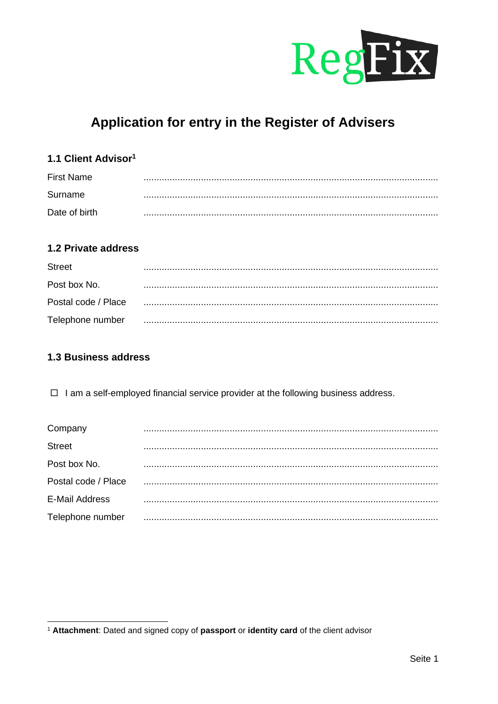

# Application for entry in the Register of Advisers

## 1.1 Client Advisor<sup>1</sup>

| <b>First Name</b> |  |
|-------------------|--|
| Surname           |  |
| Date of birth     |  |

## 1.2 Private address

| <b>Street</b>       |  |
|---------------------|--|
| Post box No.        |  |
| Postal code / Place |  |
| Telephone number    |  |

#### 1.3 Business address

 $\Box$  I am a self-employed financial service provider at the following business address.

| Company               |  |
|-----------------------|--|
| Street                |  |
| Post box No.          |  |
| Postal code / Place   |  |
| <b>E-Mail Address</b> |  |
| Telephone number      |  |

<sup>&</sup>lt;sup>1</sup> Attachment: Dated and signed copy of passport or identity card of the client advisor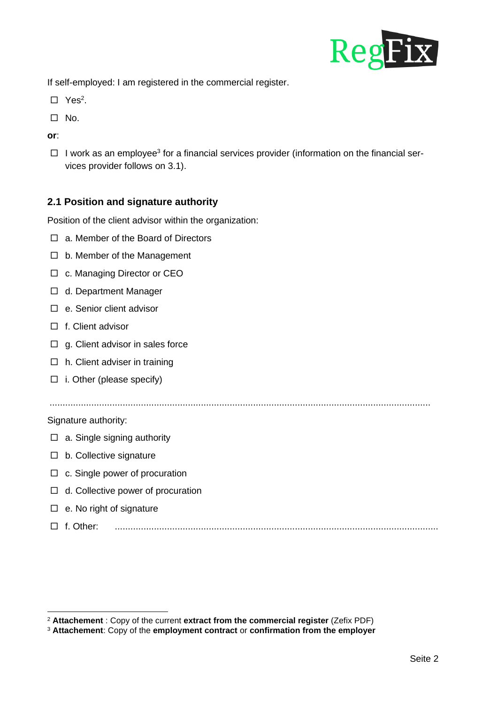

If self-employed: I am registered in the commercial register.

- $\square$  Yes<sup>2</sup>.
- $\Box$  No.
- **or**:
- $\Box$  I work as an employee<sup>3</sup> for a financial services provider (information on the financial services provider follows on 3.1).

## **2.1 Position and signature authority**

Position of the client advisor within the organization:

- □ a. Member of the Board of Directors
- $\Box$  b. Member of the Management
- □ c. Managing Director or CEO
- □ d. Department Manager
- □ e. Senior client advisor
- f. Client advisor
- $\Box$  g. Client advisor in sales force
- $\Box$  h. Client adviser in training
- $\Box$  i. Other (please specify)

..................................................................................................................................................

Signature authority:

- $\Box$  a. Single signing authority
- $\Box$  b. Collective signature
- $\Box$  c. Single power of procuration
- $\Box$  d. Collective power of procuration
- $\Box$  e. No right of signature
- f. Other: ............................................................................................................................

<sup>2</sup> **Attachement** : Copy of the current **extract from the commercial register** (Zefix PDF)

<sup>3</sup> **Attachement**: Copy of the **employment contract** or **confirmation from the employer**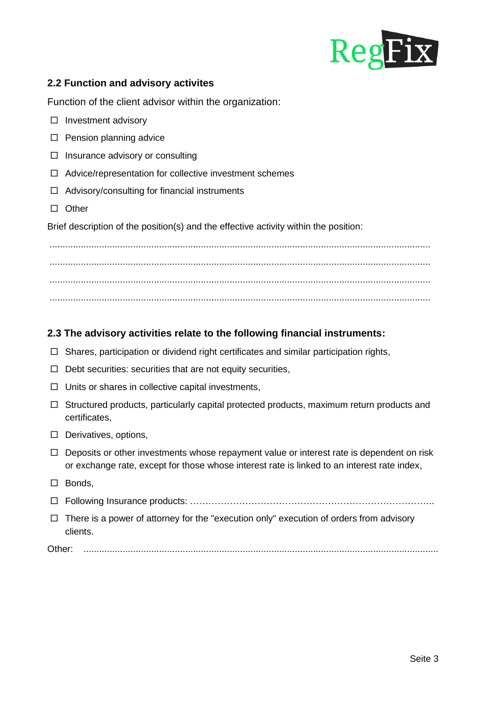

## **2.2 Function and advisory activites**

Function of the client advisor within the organization:

- $\square$  Investment advisory
- $\Box$  Pension planning advice
- $\Box$  Insurance advisory or consulting
- $\Box$  Advice/representation for collective investment schemes
- $\Box$  Advisory/consulting for financial instruments
- □ Other

Brief description of the position(s) and the effective activity within the position:

.................................................................................................................................................. .................................................................................................................................................. ..................................................................................................................................................

#### **2.3 The advisory activities relate to the following financial instruments:**

- $\Box$  Shares, participation or dividend right certificates and similar participation rights,
- $\Box$  Debt securities: securities that are not equity securities,
- $\Box$  Units or shares in collective capital investments,
- $\Box$  Structured products, particularly capital protected products, maximum return products and certificates,
- $\Box$  Derivatives, options,
- $\Box$  Deposits or other investments whose repayment value or interest rate is dependent on risk or exchange rate, except for those whose interest rate is linked to an interest rate index,
- $\square$  Bonds.
- Following Insurance products: ……………………………………………………………………..
- $\Box$  There is a power of attorney for the "execution only" execution of orders from advisory clients.

Other: ........................................................................................................................................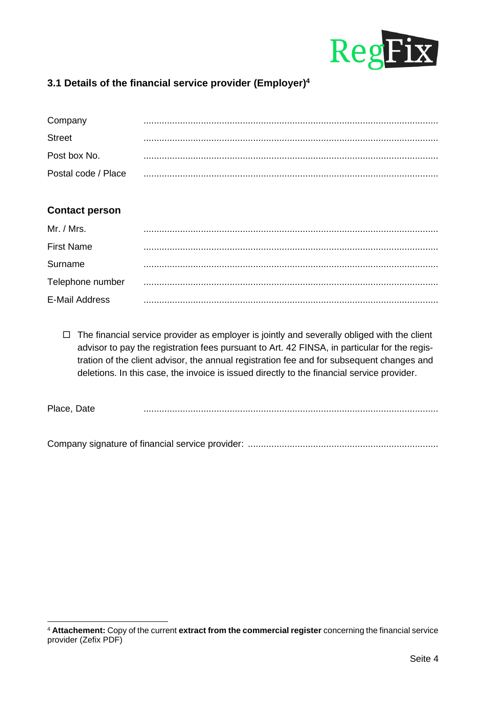

## **3.1 Details of the financial service provider (Employer)<sup>4</sup>**

| Company             |  |
|---------------------|--|
| <b>Street</b>       |  |
| Post box No.        |  |
| Postal code / Place |  |

#### **Contact person**

| Mr. / Mrs.            |  |
|-----------------------|--|
| <b>First Name</b>     |  |
| Surname               |  |
| Telephone number      |  |
| <b>E-Mail Address</b> |  |

 $\Box$  The financial service provider as employer is jointly and severally obliged with the client advisor to pay the registration fees pursuant to Art. 42 FINSA, in particular for the registration of the client advisor, the annual registration fee and for subsequent changes and deletions. In this case, the invoice is issued directly to the financial service provider.

Place, Date .................................................................................................................

Company signature of financial service provider: .........................................................................

<sup>4</sup> **Attachement:** Copy of the current **extract from the commercial register** concerning the financial service provider (Zefix PDF)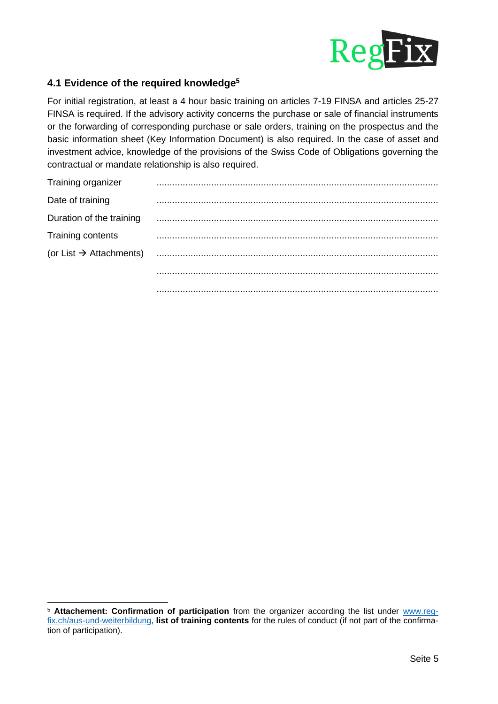

## **4.1 Evidence of the required knowledge<sup>5</sup>**

For initial registration, at least a 4 hour basic training on articles 7-19 FINSA and articles 25-27 FINSA is required. If the advisory activity concerns the purchase or sale of financial instruments or the forwarding of corresponding purchase or sale orders, training on the prospectus and the basic information sheet (Key Information Document) is also required. In the case of asset and investment advice, knowledge of the provisions of the Swiss Code of Obligations governing the contractual or mandate relationship is also required.

| Training organizer                  |  |
|-------------------------------------|--|
| Date of training                    |  |
| Duration of the training            |  |
| Training contents                   |  |
| (or List $\rightarrow$ Attachments) |  |
|                                     |  |
|                                     |  |

<sup>5</sup> **Attachement: Confirmation of participation** from the organizer according the list under [www.reg](http://www.reg-fix.ch/aus-und-weiterbildung)[fix.ch/aus-und-weiterbildung,](http://www.reg-fix.ch/aus-und-weiterbildung) **list of training contents** for the rules of conduct (if not part of the confirmation of participation).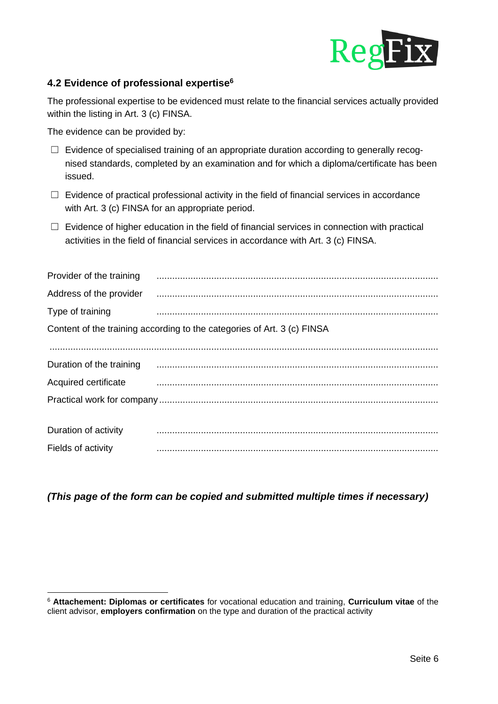

## **4.2 Evidence of professional expertise<sup>6</sup>**

The professional expertise to be evidenced must relate to the financial services actually provided within the listing in Art. 3 (c) FINSA.

The evidence can be provided by:

- □ Evidence of specialised training of an appropriate duration according to generally recognised standards, completed by an examination and for which a diploma/certificate has been issued.
- $\Box$  Evidence of practical professional activity in the field of financial services in accordance with Art. 3 (c) FINSA for an appropriate period.
- $\Box$  Evidence of higher education in the field of financial services in connection with practical activities in the field of financial services in accordance with Art. 3 (c) FINSA.

| Provider of the training                                                | $\begin{minipage}{0.5\textwidth} \begin{tabular}{ l l l } \hline \multicolumn{1}{ l l l } \hline \multicolumn{1}{ l l } \multicolumn{1}{ l } \multicolumn{1}{ l } \multicolumn{1}{ l } \multicolumn{1}{ l } \multicolumn{1}{ l } \multicolumn{1}{ l } \multicolumn{1}{ l } \multicolumn{1}{ l } \multicolumn{1}{ l } \multicolumn{1}{ l } \multicolumn{1}{ l } \multicolumn{1}{ l } \multicolumn{1}{ l } \multicolumn{1}{ l } \multicolumn$ |  |
|-------------------------------------------------------------------------|---------------------------------------------------------------------------------------------------------------------------------------------------------------------------------------------------------------------------------------------------------------------------------------------------------------------------------------------------------------------------------------------------------------------------------------------|--|
| Address of the provider                                                 | $\begin{minipage}{0.5\textwidth} \begin{tabular}{ l l l } \hline \multicolumn{1}{ l l l } \hline \multicolumn{1}{ l l } \multicolumn{1}{ l } \multicolumn{1}{ l } \multicolumn{1}{ l } \multicolumn{1}{ l } \multicolumn{1}{ l } \multicolumn{1}{ l } \multicolumn{1}{ l } \multicolumn{1}{ l } \multicolumn{1}{ l } \multicolumn{1}{ l } \multicolumn{1}{ l } \multicolumn{1}{ l } \multicolumn{1}{ l } \multicolumn{1}{ l } \multicolumn$ |  |
| Type of training                                                        |                                                                                                                                                                                                                                                                                                                                                                                                                                             |  |
| Content of the training according to the categories of Art. 3 (c) FINSA |                                                                                                                                                                                                                                                                                                                                                                                                                                             |  |
|                                                                         |                                                                                                                                                                                                                                                                                                                                                                                                                                             |  |
| Duration of the training                                                |                                                                                                                                                                                                                                                                                                                                                                                                                                             |  |
| Acquired certificate                                                    |                                                                                                                                                                                                                                                                                                                                                                                                                                             |  |
|                                                                         |                                                                                                                                                                                                                                                                                                                                                                                                                                             |  |
|                                                                         |                                                                                                                                                                                                                                                                                                                                                                                                                                             |  |
| Duration of activity                                                    |                                                                                                                                                                                                                                                                                                                                                                                                                                             |  |
| Fields of activity                                                      |                                                                                                                                                                                                                                                                                                                                                                                                                                             |  |

*(This page of the form can be copied and submitted multiple times if necessary)* 

<sup>6</sup> **Attachement: Diplomas or certificates** for vocational education and training, **Curriculum vitae** of the client advisor, **employers confirmation** on the type and duration of the practical activity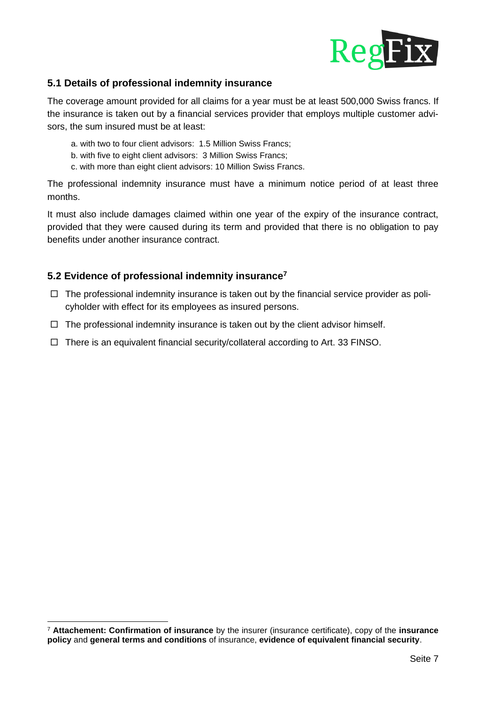

## **5.1 Details of professional indemnity insurance**

The coverage amount provided for all claims for a year must be at least 500,000 Swiss francs. If the insurance is taken out by a financial services provider that employs multiple customer advisors, the sum insured must be at least:

- a. with two to four client advisors: 1.5 Million Swiss Francs;
- b. with five to eight client advisors: 3 Million Swiss Francs;
- c. with more than eight client advisors: 10 Million Swiss Francs.

The professional indemnity insurance must have a minimum notice period of at least three months.

It must also include damages claimed within one year of the expiry of the insurance contract, provided that they were caused during its term and provided that there is no obligation to pay benefits under another insurance contract.

#### **5.2 Evidence of professional indemnity insurance<sup>7</sup>**

- $\Box$  The professional indemnity insurance is taken out by the financial service provider as policyholder with effect for its employees as insured persons.
- $\Box$  The professional indemnity insurance is taken out by the client advisor himself.
- $\Box$  There is an equivalent financial security/collateral according to Art. 33 FINSO.

<sup>7</sup> **Attachement: Confirmation of insurance** by the insurer (insurance certificate), copy of the **insurance policy** and **general terms and conditions** of insurance, **evidence of equivalent financial security**.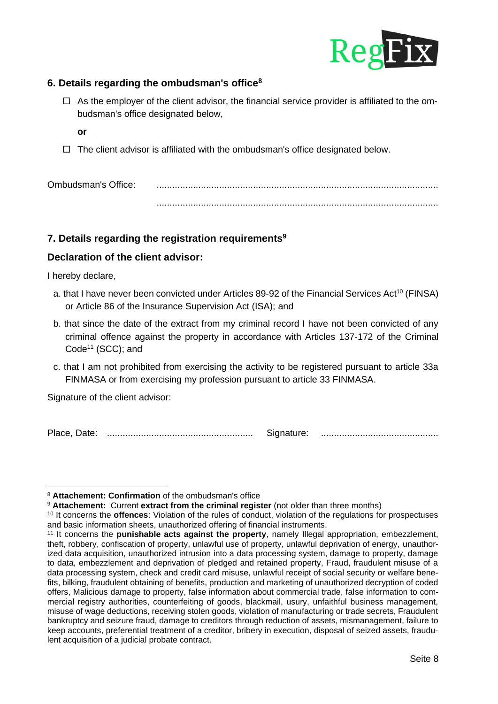

## **6. Details regarding the ombudsman's office<sup>8</sup>**

- $\Box$  As the employer of the client advisor, the financial service provider is affiliated to the ombudsman's office designated below,
	- **or**
- $\Box$  The client advisor is affiliated with the ombudsman's office designated below.

Ombudsman's Office: ............................................................................................................ ............................................................................................................

#### **7. Details regarding the registration requirements<sup>9</sup>**

#### **Declaration of the client advisor:**

I hereby declare,

- a. that I have never been convicted under Articles 89-92 of the Financial Services Act<sup>10</sup> (FINSA) or Article 86 of the Insurance Supervision Act (ISA); and
- b. that since the date of the extract from my criminal record I have not been convicted of any criminal offence against the property in accordance with Articles 137-172 of the Criminal Code<sup>11</sup> (SCC); and
- c. that I am not prohibited from exercising the activity to be registered pursuant to article 33a FINMASA or from exercising my profession pursuant to article 33 FINMASA.

Signature of the client advisor:

Place, Date: ........................................................ Signature: .............................................

<sup>8</sup> **Attachement: Confirmation** of the ombudsman's office

<sup>9</sup> **Attachement:** Current **extract from the criminal register** (not older than three months)

<sup>10</sup> It concerns the **offences**: Violation of the rules of conduct, violation of the regulations for prospectuses and basic information sheets, unauthorized offering of financial instruments.

<sup>11</sup> It concerns the **punishable acts against the property**, namely Illegal appropriation, embezzlement, theft, robbery, confiscation of property, unlawful use of property, unlawful deprivation of energy, unauthorized data acquisition, unauthorized intrusion into a data processing system, damage to property, damage to data, embezzlement and deprivation of pledged and retained property, Fraud, fraudulent misuse of a data processing system, check and credit card misuse, unlawful receipt of social security or welfare benefits, bilking, fraudulent obtaining of benefits, production and marketing of unauthorized decryption of coded offers, Malicious damage to property, false information about commercial trade, false information to commercial registry authorities, counterfeiting of goods, blackmail, usury, unfaithful business management, misuse of wage deductions, receiving stolen goods, violation of manufacturing or trade secrets, Fraudulent bankruptcy and seizure fraud, damage to creditors through reduction of assets, mismanagement, failure to keep accounts, preferential treatment of a creditor, bribery in execution, disposal of seized assets, fraudulent acquisition of a judicial probate contract.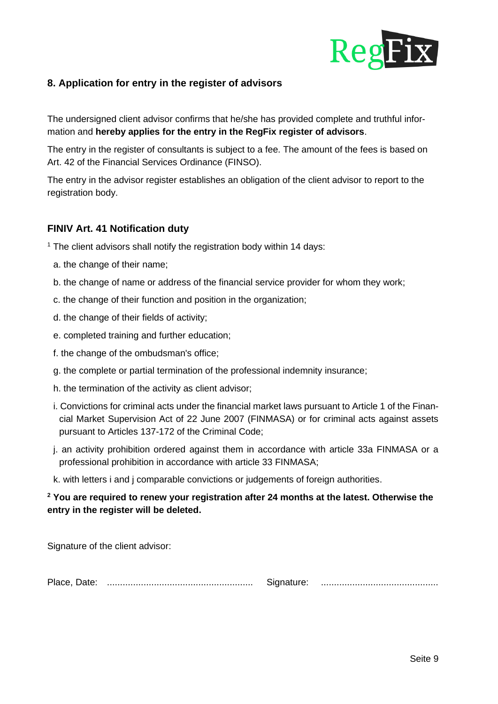

## **8. Application for entry in the register of advisors**

The undersigned client advisor confirms that he/she has provided complete and truthful information and **hereby applies for the entry in the RegFix register of advisors**.

The entry in the register of consultants is subject to a fee. The amount of the fees is based on Art. 42 of the Financial Services Ordinance (FINSO).

The entry in the advisor register establishes an obligation of the client advisor to report to the registration body.

#### **FINIV Art. 41 Notification duty**

- $1$  The client advisors shall notify the registration body within 14 days:
	- a. the change of their name;
	- b. the change of name or address of the financial service provider for whom they work;
	- c. the change of their function and position in the organization;
	- d. the change of their fields of activity;
	- e. completed training and further education;
	- f. the change of the ombudsman's office;
	- g. the complete or partial termination of the professional indemnity insurance;
	- h. the termination of the activity as client advisor;
	- i. Convictions for criminal acts under the financial market laws pursuant to Article 1 of the Financial Market Supervision Act of 22 June 2007 (FINMASA) or for criminal acts against assets pursuant to Articles 137-172 of the Criminal Code;
	- j. an activity prohibition ordered against them in accordance with article 33a FINMASA or a professional prohibition in accordance with article 33 FINMASA;
	- k. with letters i and j comparable convictions or judgements of foreign authorities.

#### **<sup>2</sup> You are required to renew your registration after 24 months at the latest. Otherwise the entry in the register will be deleted.**

Signature of the client advisor:

Place, Date: ........................................................ Signature: .............................................